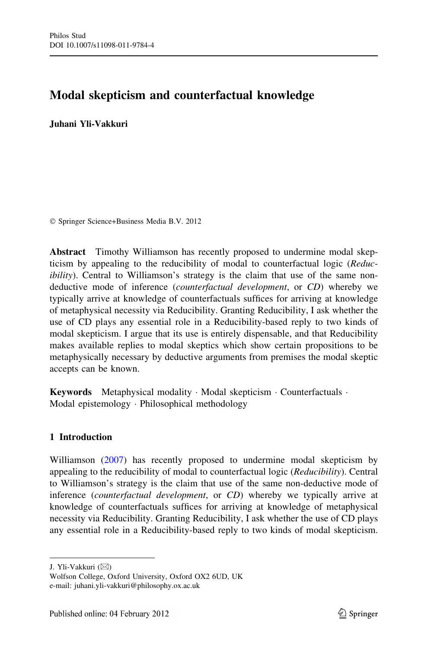# Modal skepticism and counterfactual knowledge

Juhani Yli-Vakkuri

- Springer Science+Business Media B.V. 2012

Abstract Timothy Williamson has recently proposed to undermine modal skepticism by appealing to the reducibility of modal to counterfactual logic (Reducibility). Central to Williamson's strategy is the claim that use of the same nondeductive mode of inference (counterfactual development, or CD) whereby we typically arrive at knowledge of counterfactuals suffices for arriving at knowledge of metaphysical necessity via Reducibility. Granting Reducibility, I ask whether the use of CD plays any essential role in a Reducibility-based reply to two kinds of modal skepticism. I argue that its use is entirely dispensable, and that Reducibility makes available replies to modal skeptics which show certain propositions to be metaphysically necessary by deductive arguments from premises the modal skeptic accepts can be known.

Keywords Metaphysical modality · Modal skepticism · Counterfactuals · Modal epistemology - Philosophical methodology

# 1 Introduction

Williamson [\(2007\)](#page-18-0) has recently proposed to undermine modal skepticism by appealing to the reducibility of modal to counterfactual logic (Reducibility). Central to Williamson's strategy is the claim that use of the same non-deductive mode of inference (counterfactual development, or CD) whereby we typically arrive at knowledge of counterfactuals suffices for arriving at knowledge of metaphysical necessity via Reducibility. Granting Reducibility, I ask whether the use of CD plays any essential role in a Reducibility-based reply to two kinds of modal skepticism.

J. Yli-Vakkuri (&)

Wolfson College, Oxford University, Oxford OX2 6UD, UK e-mail: juhani.yli-vakkuri@philosophy.ox.ac.uk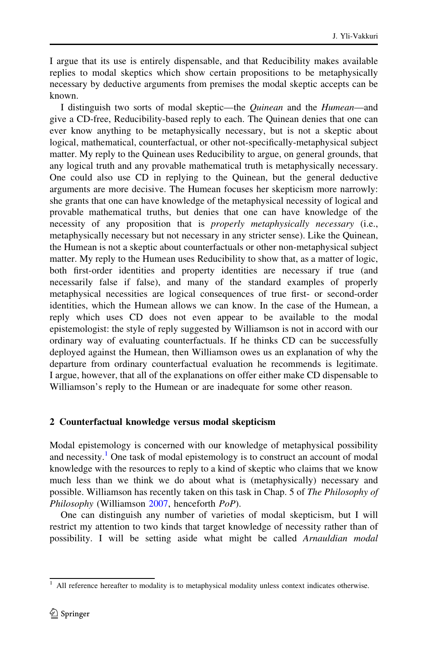I argue that its use is entirely dispensable, and that Reducibility makes available replies to modal skeptics which show certain propositions to be metaphysically necessary by deductive arguments from premises the modal skeptic accepts can be known.

I distinguish two sorts of modal skeptic—the Quinean and the Humean—and give a CD-free, Reducibility-based reply to each. The Quinean denies that one can ever know anything to be metaphysically necessary, but is not a skeptic about logical, mathematical, counterfactual, or other not-specifically-metaphysical subject matter. My reply to the Quinean uses Reducibility to argue, on general grounds, that any logical truth and any provable mathematical truth is metaphysically necessary. One could also use CD in replying to the Quinean, but the general deductive arguments are more decisive. The Humean focuses her skepticism more narrowly: she grants that one can have knowledge of the metaphysical necessity of logical and provable mathematical truths, but denies that one can have knowledge of the necessity of any proposition that is *properly metaphysically necessary* (i.e., metaphysically necessary but not necessary in any stricter sense). Like the Quinean, the Humean is not a skeptic about counterfactuals or other non-metaphysical subject matter. My reply to the Humean uses Reducibility to show that, as a matter of logic, both first-order identities and property identities are necessary if true (and necessarily false if false), and many of the standard examples of properly metaphysical necessities are logical consequences of true first- or second-order identities, which the Humean allows we can know. In the case of the Humean, a reply which uses CD does not even appear to be available to the modal epistemologist: the style of reply suggested by Williamson is not in accord with our ordinary way of evaluating counterfactuals. If he thinks CD can be successfully deployed against the Humean, then Williamson owes us an explanation of why the departure from ordinary counterfactual evaluation he recommends is legitimate. I argue, however, that all of the explanations on offer either make CD dispensable to Williamson's reply to the Humean or are inadequate for some other reason.

# 2 Counterfactual knowledge versus modal skepticism

Modal epistemology is concerned with our knowledge of metaphysical possibility and necessity.<sup>1</sup> One task of modal epistemology is to construct an account of modal knowledge with the resources to reply to a kind of skeptic who claims that we know much less than we think we do about what is (metaphysically) necessary and possible. Williamson has recently taken on this task in Chap. 5 of The Philosophy of Philosophy (Williamson [2007,](#page-18-0) henceforth PoP).

One can distinguish any number of varieties of modal skepticism, but I will restrict my attention to two kinds that target knowledge of necessity rather than of possibility. I will be setting aside what might be called Arnauldian modal

 $1$  All reference hereafter to modality is to metaphysical modality unless context indicates otherwise.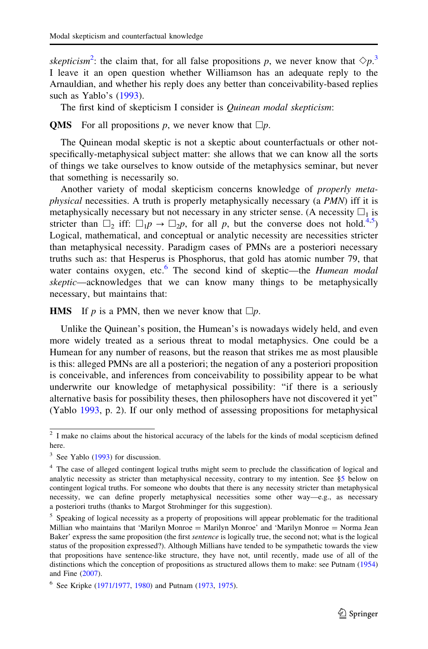skepticism<sup>2</sup>: the claim that, for all false propositions p, we never know that  $\Diamond p^3$ . I leave it an open question whether Williamson has an adequate reply to the Arnauldian, and whether his reply does any better than conceivability-based replies such as Yablo's ([1993\)](#page-18-0).

The first kind of skepticism I consider is *Quinean modal skepticism*:

**QMS** For all propositions p, we never know that  $\Box p$ .

The Quinean modal skeptic is not a skeptic about counterfactuals or other notspecifically-metaphysical subject matter: she allows that we can know all the sorts of things we take ourselves to know outside of the metaphysics seminar, but never that something is necessarily so.

Another variety of modal skepticism concerns knowledge of properly metaphysical necessities. A truth is properly metaphysically necessary (a PMN) iff it is metaphysically necessary but not necessary in any stricter sense. (A necessity  $\Box_1$  is stricter than  $\Box_2$  iff:  $\Box_1 p \rightarrow \Box_2 p$ , for all p, but the converse does not hold.<sup>4,5</sup>) Logical, mathematical, and conceptual or analytic necessity are necessities stricter than metaphysical necessity. Paradigm cases of PMNs are a posteriori necessary truths such as: that Hesperus is Phosphorus, that gold has atomic number 79, that water contains oxygen, etc. $6$  The second kind of skeptic—the *Humean modal* skeptic—acknowledges that we can know many things to be metaphysically necessary, but maintains that:

**HMS** If p is a PMN, then we never know that  $\Box p$ .

Unlike the Quinean's position, the Humean's is nowadays widely held, and even more widely treated as a serious threat to modal metaphysics. One could be a Humean for any number of reasons, but the reason that strikes me as most plausible is this: alleged PMNs are all a posteriori; the negation of any a posteriori proposition is conceivable, and inferences from conceivability to possibility appear to be what underwrite our knowledge of metaphysical possibility: ''if there is a seriously alternative basis for possibility theses, then philosophers have not discovered it yet'' (Yablo [1993](#page-18-0), p. 2). If our only method of assessing propositions for metaphysical

<sup>2</sup> I make no claims about the historical accuracy of the labels for the kinds of modal scepticism defined here.

<sup>&</sup>lt;sup>3</sup> See Yablo ([1993\)](#page-18-0) for discussion.

<sup>4</sup> The case of alleged contingent logical truths might seem to preclude the classification of logical and analytic necessity as stricter than metaphysical necessity, contrary to my intention. See [§5](#page-17-0) below on contingent logical truths. For someone who doubts that there is any necessity stricter than metaphysical necessity, we can define properly metaphysical necessities some other way—e.g., as necessary a posteriori truths (thanks to Margot Strohminger for this suggestion).

 $<sup>5</sup>$  Speaking of logical necessity as a property of propositions will appear problematic for the traditional</sup> Millian who maintains that 'Marilyn Monroe = Marilyn Monroe' and 'Marilyn Monroe = Norma Jean Baker' express the same proposition (the first sentence is logically true, the second not; what is the logical status of the proposition expressed?). Although Millians have tended to be sympathetic towards the view that propositions have sentence-like structure, they have not, until recently, made use of all of the distinctions which the conception of propositions as structured allows them to make: see Putnam ([1954\)](#page-18-0) and Fine ([2007\)](#page-18-0).

<sup>&</sup>lt;sup>6</sup> See Kripke ([1971/1977,](#page-18-0) [1980](#page-18-0)) and Putnam [\(1973](#page-18-0), [1975\)](#page-18-0).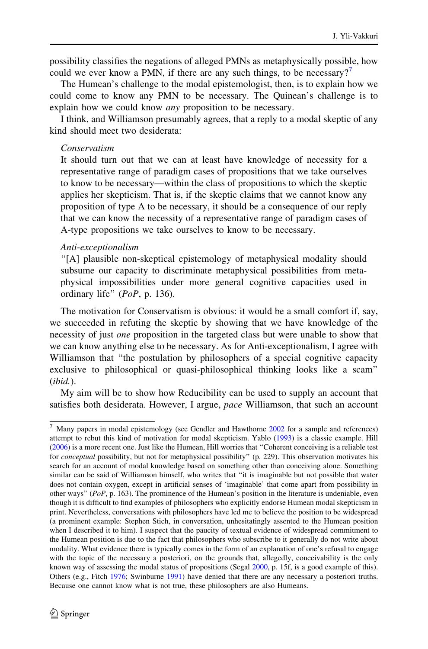possibility classifies the negations of alleged PMNs as metaphysically possible, how could we ever know a PMN, if there are any such things, to be necessary?<sup>7</sup>

The Humean's challenge to the modal epistemologist, then, is to explain how we could come to know any PMN to be necessary. The Quinean's challenge is to explain how we could know *any* proposition to be necessary.

I think, and Williamson presumably agrees, that a reply to a modal skeptic of any kind should meet two desiderata:

## Conservatism

It should turn out that we can at least have knowledge of necessity for a representative range of paradigm cases of propositions that we take ourselves to know to be necessary—within the class of propositions to which the skeptic applies her skepticism. That is, if the skeptic claims that we cannot know any proposition of type A to be necessary, it should be a consequence of our reply that we can know the necessity of a representative range of paradigm cases of A-type propositions we take ourselves to know to be necessary.

#### Anti-exceptionalism

''[A] plausible non-skeptical epistemology of metaphysical modality should subsume our capacity to discriminate metaphysical possibilities from metaphysical impossibilities under more general cognitive capacities used in ordinary life'' (PoP, p. 136).

The motivation for Conservatism is obvious: it would be a small comfort if, say, we succeeded in refuting the skeptic by showing that we have knowledge of the necessity of just *one* proposition in the targeted class but were unable to show that we can know anything else to be necessary. As for Anti-exceptionalism, I agree with Williamson that ''the postulation by philosophers of a special cognitive capacity exclusive to philosophical or quasi-philosophical thinking looks like a scam'' (ibid.).

My aim will be to show how Reducibility can be used to supply an account that satisfies both desiderata. However, I argue, pace Williamson, that such an account

 $7$  Many papers in modal epistemology (see Gendler and Hawthorne  $2002$  for a sample and references) attempt to rebut this kind of motivation for modal skepticism. Yablo ([1993\)](#page-18-0) is a classic example. Hill ([2006\)](#page-18-0) is a more recent one. Just like the Humean, Hill worries that ''Coherent conceiving is a reliable test for conceptual possibility, but not for metaphysical possibility" (p. 229). This observation motivates his search for an account of modal knowledge based on something other than conceiving alone. Something similar can be said of Williamson himself, who writes that "it is imaginable but not possible that water does not contain oxygen, except in artificial senses of 'imaginable' that come apart from possibility in other ways" ( $PoP$ , p. 163). The prominence of the Humean's position in the literature is undeniable, even though it is difficult to find examples of philosophers who explicitly endorse Humean modal skepticism in print. Nevertheless, conversations with philosophers have led me to believe the position to be widespread (a prominent example: Stephen Stich, in conversation, unhesitatingly assented to the Humean position when I described it to him). I suspect that the paucity of textual evidence of widespread commitment to the Humean position is due to the fact that philosophers who subscribe to it generally do not write about modality. What evidence there is typically comes in the form of an explanation of one's refusal to engage with the topic of the necessary a posteriori, on the grounds that, allegedly, conceivability is the only known way of assessing the modal status of propositions (Segal [2000,](#page-18-0) p. 15f, is a good example of this). Others (e.g., Fitch [1976;](#page-18-0) Swinburne [1991](#page-18-0)) have denied that there are any necessary a posteriori truths. Because one cannot know what is not true, these philosophers are also Humeans.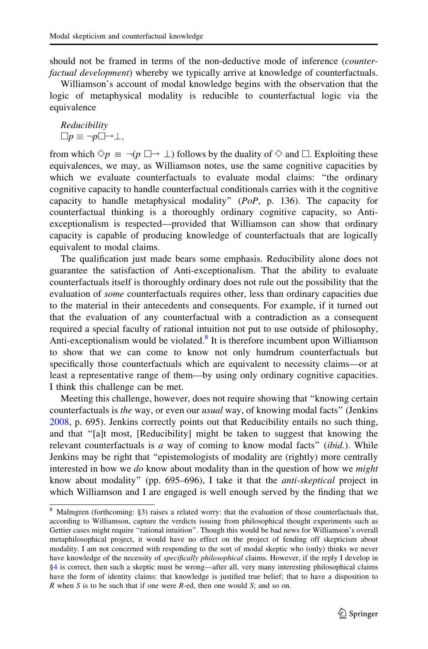should not be framed in terms of the non-deductive mode of inference (*counter*factual development) whereby we typically arrive at knowledge of counterfactuals.

Williamson's account of modal knowledge begins with the observation that the logic of metaphysical modality is reducible to counterfactual logic via the equivalence

Reducibility  $\Box p \equiv \neg p \Box \rightarrow \bot.$ 

from which  $\Diamond p \equiv \neg (p \Box \rightarrow \bot)$  follows by the duality of  $\Diamond$  and  $\Box$ . Exploiting these equivalences, we may, as Williamson notes, use the same cognitive capacities by which we evaluate counterfactuals to evaluate modal claims: "the ordinary cognitive capacity to handle counterfactual conditionals carries with it the cognitive capacity to handle metaphysical modality"  $(PoP, p. 136)$ . The capacity for counterfactual thinking is a thoroughly ordinary cognitive capacity, so Antiexceptionalism is respected—provided that Williamson can show that ordinary capacity is capable of producing knowledge of counterfactuals that are logically equivalent to modal claims.

The qualification just made bears some emphasis. Reducibility alone does not guarantee the satisfaction of Anti-exceptionalism. That the ability to evaluate counterfactuals itself is thoroughly ordinary does not rule out the possibility that the evaluation of *some* counterfactuals requires other, less than ordinary capacities due to the material in their antecedents and consequents. For example, if it turned out that the evaluation of any counterfactual with a contradiction as a consequent required a special faculty of rational intuition not put to use outside of philosophy, Anti-exceptionalism would be violated.<sup>8</sup> It is therefore incumbent upon Williamson to show that we can come to know not only humdrum counterfactuals but specifically those counterfactuals which are equivalent to necessity claims—or at least a representative range of them—by using only ordinary cognitive capacities. I think this challenge can be met.

Meeting this challenge, however, does not require showing that ''knowing certain counterfactuals is the way, or even our *usual* way, of knowing modal facts" (Jenkins [2008,](#page-18-0) p. 695). Jenkins correctly points out that Reducibility entails no such thing, and that ''[a]t most, [Reducibility] might be taken to suggest that knowing the relevant counterfactuals is  $a$  way of coming to know modal facts" (ibid.). While Jenkins may be right that ''epistemologists of modality are (rightly) more centrally interested in how we *do* know about modality than in the question of how we *might* know about modality" (pp. 695–696), I take it that the *anti-skeptical* project in which Williamson and I are engaged is well enough served by the finding that we

<sup>8</sup> Malmgren (forthcoming: §3) raises a related worry: that the evaluation of those counterfactuals that, according to Williamson, capture the verdicts issuing from philosophical thought experiments such as Gettier cases might require ''rational intuition''. Though this would be bad news for Williamson's overall metaphilosophical project, it would have no effect on the project of fending off skepticism about modality. I am not concerned with responding to the sort of modal skeptic who (only) thinks we never have knowledge of the necessity of *specifically philosophical* claims. However, if the reply I develop in [§4](#page-9-0) is correct, then such a skeptic must be wrong—after all, very many interesting philosophical claims have the form of identity claims: that knowledge is justified true belief; that to have a disposition to R when S is to be such that if one were R-ed, then one would S; and so on.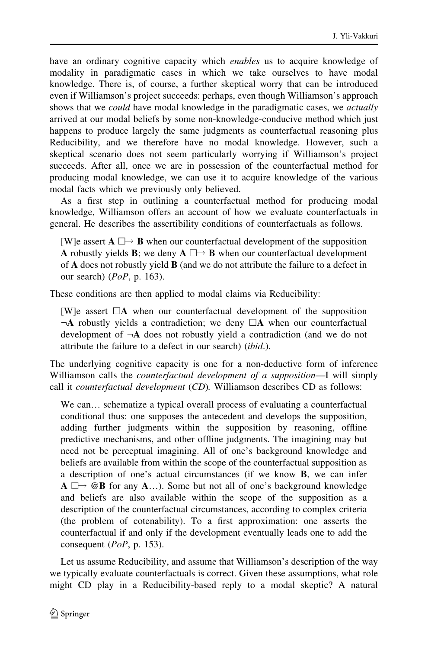have an ordinary cognitive capacity which *enables* us to acquire knowledge of modality in paradigmatic cases in which we take ourselves to have modal knowledge. There is, of course, a further skeptical worry that can be introduced even if Williamson's project succeeds: perhaps, even though Williamson's approach shows that we *could* have modal knowledge in the paradigmatic cases, we *actually* arrived at our modal beliefs by some non-knowledge-conducive method which just happens to produce largely the same judgments as counterfactual reasoning plus Reducibility, and we therefore have no modal knowledge. However, such a skeptical scenario does not seem particularly worrying if Williamson's project succeeds. After all, once we are in possession of the counterfactual method for producing modal knowledge, we can use it to acquire knowledge of the various modal facts which we previously only believed.

As a first step in outlining a counterfactual method for producing modal knowledge, Williamson offers an account of how we evaluate counterfactuals in general. He describes the assertibility conditions of counterfactuals as follows.

[W]e assert  $A \Box \rightarrow B$  when our counterfactual development of the supposition A robustly yields **B**; we deny  $A \Box \rightarrow B$  when our counterfactual development of A does not robustly yield B (and we do not attribute the failure to a defect in our search) ( $PoP$ , p. 163).

These conditions are then applied to modal claims via Reducibility:

[W]e assert  $\Box A$  when our counterfactual development of the supposition  $\neg$ A robustly yields a contradiction; we deny  $\Box$ A when our counterfactual development of  $\neg$ **A** does not robustly yield a contradiction (and we do not attribute the failure to a defect in our search) (ibid.).

The underlying cognitive capacity is one for a non-deductive form of inference Williamson calls the *counterfactual development of a supposition*—I will simply call it counterfactual development (CD). Williamson describes CD as follows:

We can… schematize a typical overall process of evaluating a counterfactual conditional thus: one supposes the antecedent and develops the supposition, adding further judgments within the supposition by reasoning, offline predictive mechanisms, and other offline judgments. The imagining may but need not be perceptual imagining. All of one's background knowledge and beliefs are available from within the scope of the counterfactual supposition as a description of one's actual circumstances (if we know B, we can infer  $A \nightharpoonup \nightharpoonup \nightharpoonup B$  for any  $A$ ...). Some but not all of one's background knowledge and beliefs are also available within the scope of the supposition as a description of the counterfactual circumstances, according to complex criteria (the problem of cotenability). To a first approximation: one asserts the counterfactual if and only if the development eventually leads one to add the consequent ( $PoP$ , p. 153).

Let us assume Reducibility, and assume that Williamson's description of the way we typically evaluate counterfactuals is correct. Given these assumptions, what role might CD play in a Reducibility-based reply to a modal skeptic? A natural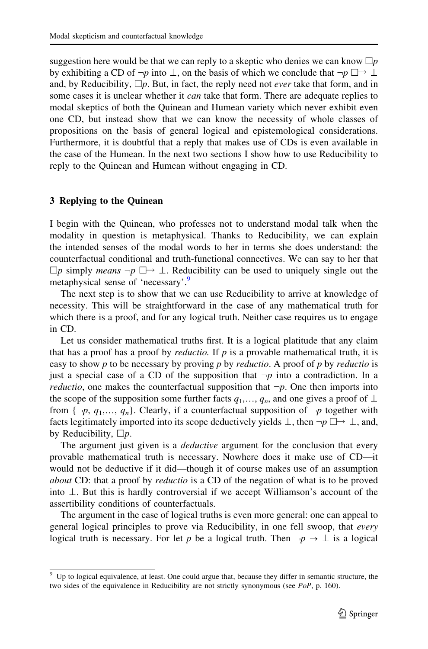<span id="page-6-0"></span>suggestion here would be that we can reply to a skeptic who denies we can know  $\Box p$ by exhibiting a CD of  $\neg p$  into  $\perp$ , on the basis of which we conclude that  $\neg p \Box \rightarrow \perp$ and, by Reducibility,  $\Box p$ . But, in fact, the reply need not *ever* take that form, and in some cases it is unclear whether it *can* take that form. There are adequate replies to modal skeptics of both the Quinean and Humean variety which never exhibit even one CD, but instead show that we can know the necessity of whole classes of propositions on the basis of general logical and epistemological considerations. Furthermore, it is doubtful that a reply that makes use of CDs is even available in the case of the Humean. In the next two sections I show how to use Reducibility to reply to the Quinean and Humean without engaging in CD.

### 3 Replying to the Quinean

I begin with the Quinean, who professes not to understand modal talk when the modality in question is metaphysical. Thanks to Reducibility, we can explain the intended senses of the modal words to her in terms she does understand: the counterfactual conditional and truth-functional connectives. We can say to her that  $\Box p$  simply *means*  $\neg p \Box \rightarrow \bot$ . Reducibility can be used to uniquely single out the metaphysical sense of 'necessary'.<sup>9</sup>

The next step is to show that we can use Reducibility to arrive at knowledge of necessity. This will be straightforward in the case of any mathematical truth for which there is a proof, and for any logical truth. Neither case requires us to engage in CD.

Let us consider mathematical truths first. It is a logical platitude that any claim that has a proof has a proof by *reductio*. If  $p$  is a provable mathematical truth, it is easy to show  $p$  to be necessary by proving  $p$  by *reductio*. A proof of  $p$  by *reductio* is just a special case of a CD of the supposition that  $\neg p$  into a contradiction. In a *reductio*, one makes the counterfactual supposition that  $\neg p$ . One then imports into the scope of the supposition some further facts  $q_1, \ldots, q_n$ , and one gives a proof of  $\perp$ from  $\{\neg p, q_1, \ldots, q_n\}$ . Clearly, if a counterfactual supposition of  $\neg p$  together with facts legitimately imported into its scope deductively yields  $\perp$ , then  $\neg p \Box \rightarrow \perp$ , and, by Reducibility,  $\Box p$ .

The argument just given is a *deductive* argument for the conclusion that every provable mathematical truth is necessary. Nowhere does it make use of CD—it would not be deductive if it did—though it of course makes use of an assumption *about* CD: that a proof by *reductio* is a CD of the negation of what is to be proved into  $\perp$ . But this is hardly controversial if we accept Williamson's account of the assertibility conditions of counterfactuals.

The argument in the case of logical truths is even more general: one can appeal to general logical principles to prove via Reducibility, in one fell swoop, that every logical truth is necessary. For let p be a logical truth. Then  $\neg p \rightarrow \bot$  is a logical

<sup>&</sup>lt;sup>9</sup> Up to logical equivalence, at least. One could argue that, because they differ in semantic structure, the two sides of the equivalence in Reducibility are not strictly synonymous (see PoP, p. 160).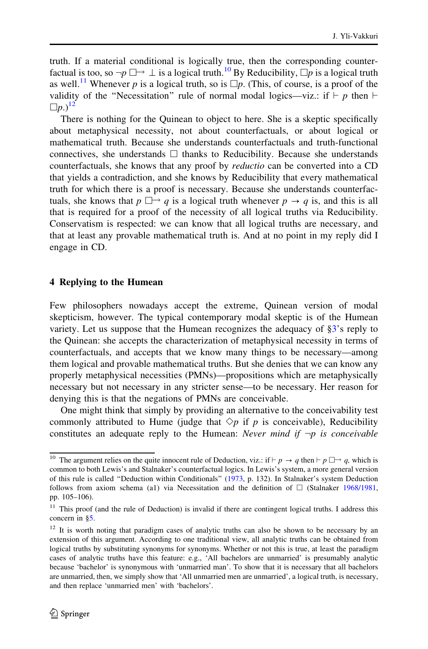truth. If a material conditional is logically true, then the corresponding counterfactual is too, so  $\neg p \Box \rightarrow \bot$  is a logical truth.<sup>10</sup> By Reducibility,  $\Box p$  is a logical truth as well.<sup>11</sup> Whenever p is a logical truth, so is  $\Box p$ . (This, of course, is a proof of the validity of the "Necessitation" rule of normal modal logics—viz.: if  $\vdash p$  then  $\vdash$  $\Box p.)^{12}$ 

There is nothing for the Quinean to object to here. She is a skeptic specifically about metaphysical necessity, not about counterfactuals, or about logical or mathematical truth. Because she understands counterfactuals and truth-functional connectives, she understands  $\Box$  thanks to Reducibility. Because she understands counterfactuals, she knows that any proof by reductio can be converted into a CD that yields a contradiction, and she knows by Reducibility that every mathematical truth for which there is a proof is necessary. Because she understands counterfactuals, she knows that  $p \Box \rightarrow q$  is a logical truth whenever  $p \rightarrow q$  is, and this is all that is required for a proof of the necessity of all logical truths via Reducibility. Conservatism is respected: we can know that all logical truths are necessary, and that at least any provable mathematical truth is. And at no point in my reply did I engage in CD.

## 4 Replying to the Humean

Few philosophers nowadays accept the extreme, Quinean version of modal skepticism, however. The typical contemporary modal skeptic is of the Humean variety. Let us suppose that the Humean recognizes the adequacy of §[3'](#page-6-0)s reply to the Quinean: she accepts the characterization of metaphysical necessity in terms of counterfactuals, and accepts that we know many things to be necessary—among them logical and provable mathematical truths. But she denies that we can know any properly metaphysical necessities (PMNs)—propositions which are metaphysically necessary but not necessary in any stricter sense—to be necessary. Her reason for denying this is that the negations of PMNs are conceivable.

One might think that simply by providing an alternative to the conceivability test commonly attributed to Hume (judge that  $\Diamond p$  if p is conceivable), Reducibility constitutes an adequate reply to the Humean: Never mind if  $\neg p$  is conceivable

<sup>&</sup>lt;sup>10</sup> The argument relies on the quite innocent rule of Deduction, viz.: if  $\vdash p \rightarrow q$  then  $\vdash p \Box \rightarrow q$ , which is common to both Lewis's and Stalnaker's counterfactual logics. In Lewis's system, a more general version of this rule is called ''Deduction within Conditionals'' ([1973,](#page-18-0) p. 132). In Stalnaker's system Deduction follows from axiom schema (a1) via Necessitation and the definition of  $\Box$  (Stalnaker [1968/1981](#page-18-0), pp. 105–106).

<sup>&</sup>lt;sup>11</sup> This proof (and the rule of Deduction) is invalid if there are contingent logical truths. I address this concern in §[5.](#page-17-0)

<sup>&</sup>lt;sup>12</sup> It is worth noting that paradigm cases of analytic truths can also be shown to be necessary by an extension of this argument. According to one traditional view, all analytic truths can be obtained from logical truths by substituting synonyms for synonyms. Whether or not this is true, at least the paradigm cases of analytic truths have this feature: e.g., 'All bachelors are unmarried' is presumably analytic because 'bachelor' is synonymous with 'unmarried man'. To show that it is necessary that all bachelors are unmarried, then, we simply show that 'All unmarried men are unmarried', a logical truth, is necessary, and then replace 'unmarried men' with 'bachelors'.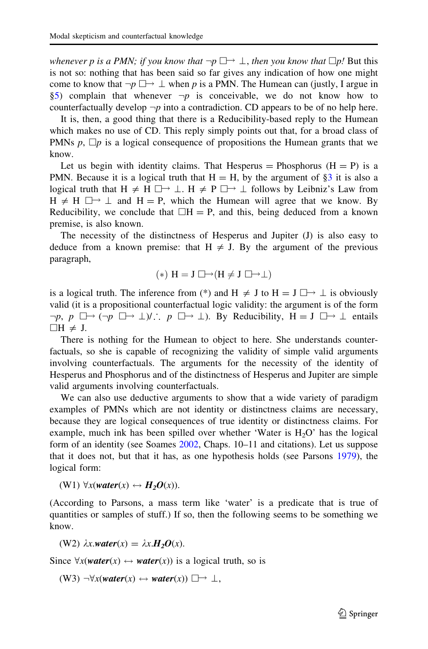whenever p is a PMN; if you know that  $\neg p \Box \rightarrow \bot$ , then you know that  $\Box p$ ! But this is not so: nothing that has been said so far gives any indication of how one might come to know that  $\neg p \Box \rightarrow \bot$  when p is a PMN. The Humean can (justly, I argue in [§5](#page-17-0)) complain that whenever  $\neg p$  is conceivable, we do not know how to counterfactually develop  $\neg p$  into a contradiction. CD appears to be of no help here.

It is, then, a good thing that there is a Reducibility-based reply to the Humean which makes no use of CD. This reply simply points out that, for a broad class of PMNs  $p$ ,  $\Box p$  is a logical consequence of propositions the Humean grants that we know.

Let us begin with identity claims. That Hesperus  $=$  Phosphorus  $(H = P)$  is a PMN. Because it is a logical truth that  $H = H$ , by the argument of §[3](#page-6-0) it is also a logical truth that  $H \neq H \square \rightarrow \bot$ .  $H \neq P \square \rightarrow \bot$  follows by Leibniz's Law from  $H \neq H \square \rightarrow \bot$  and  $H = P$ , which the Humean will agree that we know. By Reducibility, we conclude that  $\Box H = P$ , and this, being deduced from a known premise, is also known.

The necessity of the distinctness of Hesperus and Jupiter (J) is also easy to deduce from a known premise: that  $H \neq J$ . By the argument of the previous paragraph,

$$
(*)\ H=J\ \Box \!\!\!\rightarrow\!\! (H\neq J\ \Box \!\!\!\rightarrow\!\bot)
$$

is a logical truth. The inference from (\*) and  $H \neq J$  to  $H = J \Box \rightarrow \bot$  is obviously valid (it is a propositional counterfactual logic validity: the argument is of the form  $\neg p, p \Box \rightarrow (\neg p \Box \rightarrow \bot) /$ ; p  $\Box \rightarrow \bot$ ). By Reducibility, H = J  $\Box \rightarrow \bot$  entails  $\Box H \neq J$ .

There is nothing for the Humean to object to here. She understands counterfactuals, so she is capable of recognizing the validity of simple valid arguments involving counterfactuals. The arguments for the necessity of the identity of Hesperus and Phosphorus and of the distinctness of Hesperus and Jupiter are simple valid arguments involving counterfactuals.

We can also use deductive arguments to show that a wide variety of paradigm examples of PMNs which are not identity or distinctness claims are necessary, because they are logical consequences of true identity or distinctness claims. For example, much ink has been spilled over whether 'Water is  $H_2O'$  has the logical form of an identity (see Soames [2002,](#page-18-0) Chaps. 10–11 and citations). Let us suppose that it does not, but that it has, as one hypothesis holds (see Parsons [1979](#page-18-0)), the logical form:

(W1)  $\forall x$ (water(x)  $\leftrightarrow H_2O(x)$ ).

(According to Parsons, a mass term like 'water' is a predicate that is true of quantities or samples of stuff.) If so, then the following seems to be something we know.

(W2)  $\lambda x. \text{water}(x) = \lambda x. H_2O(x)$ .

Since  $\forall x$ (water(x)  $\leftrightarrow$  water(x)) is a logical truth, so is

 $(W3) \neg \forall x (water(x) \leftrightarrow water(x)) \Box \rightarrow \bot,$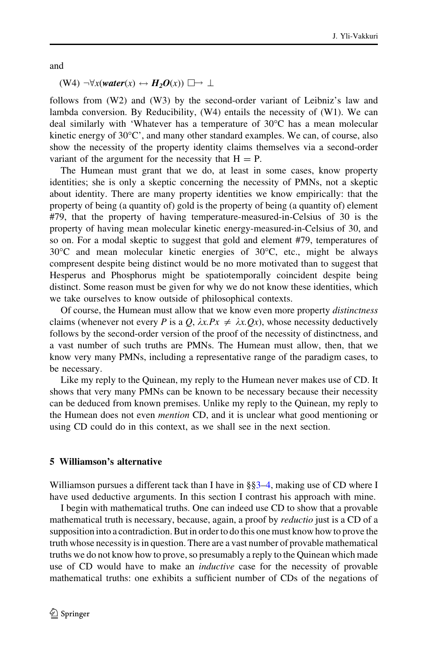<span id="page-9-0"></span>and

$$
(W4) \neg \forall x(water(x) \leftrightarrow H_2O(x)) \Box \rightarrow \bot
$$

follows from (W2) and (W3) by the second-order variant of Leibniz's law and lambda conversion. By Reducibility, (W4) entails the necessity of (W1). We can deal similarly with 'Whatever has a temperature of  $30^{\circ}$ C has a mean molecular kinetic energy of  $30^{\circ}$ C', and many other standard examples. We can, of course, also show the necessity of the property identity claims themselves via a second-order variant of the argument for the necessity that  $H = P$ .

The Humean must grant that we do, at least in some cases, know property identities; she is only a skeptic concerning the necessity of PMNs, not a skeptic about identity. There are many property identities we know empirically: that the property of being (a quantity of) gold is the property of being (a quantity of) element #79, that the property of having temperature-measured-in-Celsius of 30 is the property of having mean molecular kinetic energy-measured-in-Celsius of 30, and so on. For a modal skeptic to suggest that gold and element #79, temperatures of 30C and mean molecular kinetic energies of 30C, etc., might be always compresent despite being distinct would be no more motivated than to suggest that Hesperus and Phosphorus might be spatiotemporally coincident despite being distinct. Some reason must be given for why we do not know these identities, which we take ourselves to know outside of philosophical contexts.

Of course, the Humean must allow that we know even more property distinctness claims (whenever not every P is a O,  $\lambda x.Px \neq \lambda x.Ox$ ), whose necessity deductively follows by the second-order version of the proof of the necessity of distinctness, and a vast number of such truths are PMNs. The Humean must allow, then, that we know very many PMNs, including a representative range of the paradigm cases, to be necessary.

Like my reply to the Quinean, my reply to the Humean never makes use of CD. It shows that very many PMNs can be known to be necessary because their necessity can be deduced from known premises. Unlike my reply to the Quinean, my reply to the Humean does not even mention CD, and it is unclear what good mentioning or using CD could do in this context, as we shall see in the next section.

## 5 Williamson's alternative

Williamson pursues a different tack than I have in §[§3](#page-6-0)–4, making use of CD where I have used deductive arguments. In this section I contrast his approach with mine.

I begin with mathematical truths. One can indeed use CD to show that a provable mathematical truth is necessary, because, again, a proof by *reductio* just is a CD of a supposition into a contradiction. But in order to do this one must know how to prove the truth whose necessity is in question. There are a vast number of provable mathematical truths we do not know how to prove, so presumably a reply to the Quinean which made use of CD would have to make an *inductive* case for the necessity of provable mathematical truths: one exhibits a sufficient number of CDs of the negations of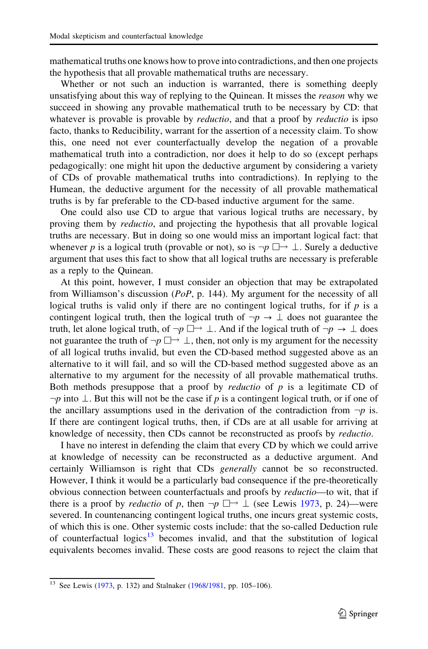mathematical truths one knows how to prove into contradictions, and then one projects the hypothesis that all provable mathematical truths are necessary.

Whether or not such an induction is warranted, there is something deeply unsatisfying about this way of replying to the Quinean. It misses the *reason* why we succeed in showing any provable mathematical truth to be necessary by CD: that whatever is provable is provable by *reductio*, and that a proof by *reductio* is ipso facto, thanks to Reducibility, warrant for the assertion of a necessity claim. To show this, one need not ever counterfactually develop the negation of a provable mathematical truth into a contradiction, nor does it help to do so (except perhaps pedagogically: one might hit upon the deductive argument by considering a variety of CDs of provable mathematical truths into contradictions). In replying to the Humean, the deductive argument for the necessity of all provable mathematical truths is by far preferable to the CD-based inductive argument for the same.

One could also use CD to argue that various logical truths are necessary, by proving them by reductio, and projecting the hypothesis that all provable logical truths are necessary. But in doing so one would miss an important logical fact: that whenever p is a logical truth (provable or not), so is  $\neg p \Box \rightarrow \bot$ . Surely a deductive argument that uses this fact to show that all logical truths are necessary is preferable as a reply to the Quinean.

At this point, however, I must consider an objection that may be extrapolated from Williamson's discussion ( $PoP$ , p. 144). My argument for the necessity of all logical truths is valid only if there are no contingent logical truths, for if  $p$  is a contingent logical truth, then the logical truth of  $\neg p \rightarrow \bot$  does not guarantee the truth, let alone logical truth, of  $\neg p \Box \rightarrow \bot$ . And if the logical truth of  $\neg p \rightarrow \bot$  does not guarantee the truth of  $\neg p \Box \rightarrow \bot$ , then, not only is my argument for the necessity of all logical truths invalid, but even the CD-based method suggested above as an alternative to it will fail, and so will the CD-based method suggested above as an alternative to my argument for the necessity of all provable mathematical truths. Both methods presuppose that a proof by *reductio* of  $p$  is a legitimate CD of  $\neg p$  into  $\perp$ . But this will not be the case if p is a contingent logical truth, or if one of the ancillary assumptions used in the derivation of the contradiction from  $\neg p$  is. If there are contingent logical truths, then, if CDs are at all usable for arriving at knowledge of necessity, then CDs cannot be reconstructed as proofs by reductio.

I have no interest in defending the claim that every CD by which we could arrive at knowledge of necessity can be reconstructed as a deductive argument. And certainly Williamson is right that CDs generally cannot be so reconstructed. However, I think it would be a particularly bad consequence if the pre-theoretically obvious connection between counterfactuals and proofs by reductio—to wit, that if there is a proof by *reductio* of p, then  $\neg p \Box \rightarrow \bot$  (see Lewis [1973](#page-18-0), p. 24)—were severed. In countenancing contingent logical truths, one incurs great systemic costs, of which this is one. Other systemic costs include: that the so-called Deduction rule of counterfactual logics $13$  becomes invalid, and that the substitution of logical equivalents becomes invalid. These costs are good reasons to reject the claim that

<sup>&</sup>lt;sup>13</sup> See Lewis ([1973,](#page-18-0) p. 132) and Stalnaker ([1968/1981,](#page-18-0) pp. 105-106).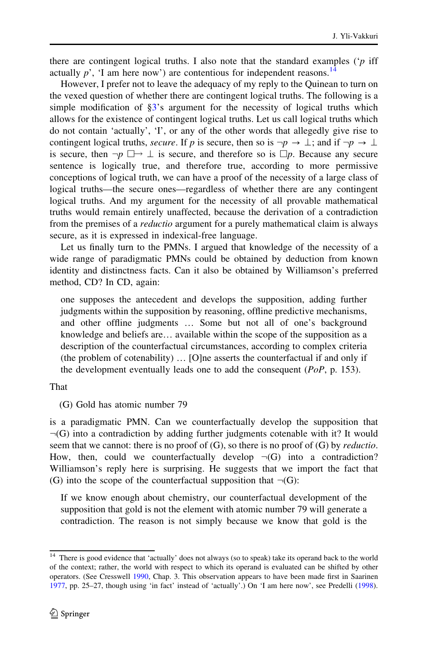there are contingent logical truths. I also note that the standard examples ( $p$  iff actually p', 'I am here now') are contentious for independent reasons.<sup>14</sup>

However, I prefer not to leave the adequacy of my reply to the Quinean to turn on the vexed question of whether there are contingent logical truths. The following is a simple modification of  $\S$ 3's argument for the necessity of logical truths which allows for the existence of contingent logical truths. Let us call logical truths which do not contain 'actually', 'I', or any of the other words that allegedly give rise to contingent logical truths, *secure*. If p is secure, then so is  $\neg p \rightarrow \bot$ ; and if  $\neg p \rightarrow \bot$ is secure, then  $\neg p \Box \rightarrow \bot$  is secure, and therefore so is  $\Box p$ . Because any secure sentence is logically true, and therefore true, according to more permissive conceptions of logical truth, we can have a proof of the necessity of a large class of logical truths—the secure ones—regardless of whether there are any contingent logical truths. And my argument for the necessity of all provable mathematical truths would remain entirely unaffected, because the derivation of a contradiction from the premises of a *reductio* argument for a purely mathematical claim is always secure, as it is expressed in indexical-free language.

Let us finally turn to the PMNs. I argued that knowledge of the necessity of a wide range of paradigmatic PMNs could be obtained by deduction from known identity and distinctness facts. Can it also be obtained by Williamson's preferred method, CD? In CD, again:

one supposes the antecedent and develops the supposition, adding further judgments within the supposition by reasoning, offline predictive mechanisms, and other offline judgments … Some but not all of one's background knowledge and beliefs are… available within the scope of the supposition as a description of the counterfactual circumstances, according to complex criteria (the problem of cotenability) … [O]ne asserts the counterfactual if and only if the development eventually leads one to add the consequent  $(PoP, p. 153)$ .

# That

(G) Gold has atomic number 79

is a paradigmatic PMN. Can we counterfactually develop the supposition that  $\neg(G)$  into a contradiction by adding further judgments cotenable with it? It would seem that we cannot: there is no proof of  $(G)$ , so there is no proof of  $(G)$  by *reductio*. How, then, could we counterfactually develop  $\neg(G)$  into a contradiction? Williamson's reply here is surprising. He suggests that we import the fact that (G) into the scope of the counterfactual supposition that  $\neg(G)$ :

If we know enough about chemistry, our counterfactual development of the supposition that gold is not the element with atomic number 79 will generate a contradiction. The reason is not simply because we know that gold is the

<sup>&</sup>lt;sup>14</sup> There is good evidence that 'actually' does not always (so to speak) take its operand back to the world of the context; rather, the world with respect to which its operand is evaluated can be shifted by other operators. (See Cresswell [1990](#page-18-0), Chap. 3. This observation appears to have been made first in Saarinen [1977,](#page-18-0) pp. 25–27, though using 'in fact' instead of 'actually'.) On 'I am here now', see Predelli ([1998\)](#page-18-0).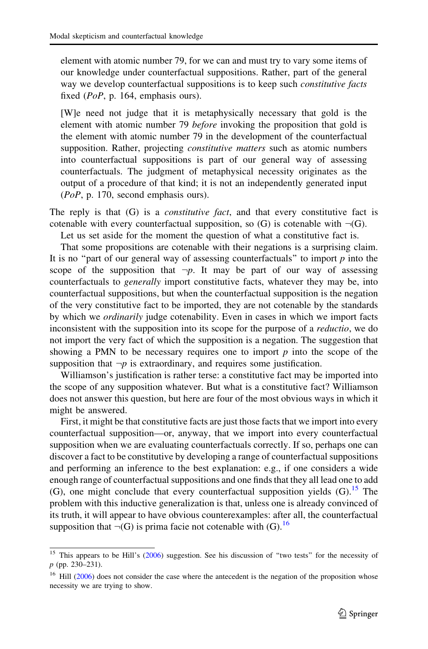element with atomic number 79, for we can and must try to vary some items of our knowledge under counterfactual suppositions. Rather, part of the general way we develop counterfactual suppositions is to keep such *constitutive facts* fixed (PoP, p. 164, emphasis ours).

[W]e need not judge that it is metaphysically necessary that gold is the element with atomic number 79 before invoking the proposition that gold is the element with atomic number 79 in the development of the counterfactual supposition. Rather, projecting *constitutive matters* such as atomic numbers into counterfactual suppositions is part of our general way of assessing counterfactuals. The judgment of metaphysical necessity originates as the output of a procedure of that kind; it is not an independently generated input (PoP, p. 170, second emphasis ours).

The reply is that  $(G)$  is a *constitutive fact*, and that every constitutive fact is cotenable with every counterfactual supposition, so (G) is cotenable with  $\neg(G)$ .

Let us set aside for the moment the question of what a constitutive fact is.

That some propositions are cotenable with their negations is a surprising claim. It is no "part of our general way of assessing counterfactuals" to import  $p$  into the scope of the supposition that  $\neg p$ . It may be part of our way of assessing counterfactuals to generally import constitutive facts, whatever they may be, into counterfactual suppositions, but when the counterfactual supposition is the negation of the very constitutive fact to be imported, they are not cotenable by the standards by which we *ordinarily* judge cotenability. Even in cases in which we import facts inconsistent with the supposition into its scope for the purpose of a reductio, we do not import the very fact of which the supposition is a negation. The suggestion that showing a PMN to be necessary requires one to import  $p$  into the scope of the supposition that  $\neg p$  is extraordinary, and requires some justification.

Williamson's justification is rather terse: a constitutive fact may be imported into the scope of any supposition whatever. But what is a constitutive fact? Williamson does not answer this question, but here are four of the most obvious ways in which it might be answered.

First, it might be that constitutive facts are just those facts that we import into every counterfactual supposition—or, anyway, that we import into every counterfactual supposition when we are evaluating counterfactuals correctly. If so, perhaps one can discover a fact to be constitutive by developing a range of counterfactual suppositions and performing an inference to the best explanation: e.g., if one considers a wide enough range of counterfactual suppositions and one finds that they all lead one to add (G), one might conclude that every counterfactual supposition yields  $(G)$ .<sup>15</sup> The problem with this inductive generalization is that, unless one is already convinced of its truth, it will appear to have obvious counterexamples: after all, the counterfactual supposition that  $\neg(G)$  is prima facie not cotenable with (G).<sup>16</sup>

<sup>&</sup>lt;sup>15</sup> This appears to be Hill's [\(2006](#page-18-0)) suggestion. See his discussion of "two tests" for the necessity of p (pp. 230–231).

<sup>&</sup>lt;sup>16</sup> Hill ([2006](#page-18-0)) does not consider the case where the antecedent is the negation of the proposition whose necessity we are trying to show.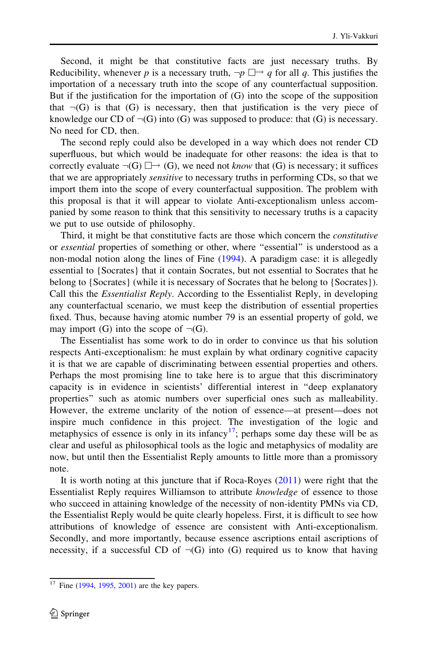Second, it might be that constitutive facts are just necessary truths. By Reducibility, whenever p is a necessary truth,  $\neg p \Box \rightarrow q$  for all q. This justifies the importation of a necessary truth into the scope of any counterfactual supposition. But if the justification for the importation of (G) into the scope of the supposition that  $\neg(G)$  is that (G) is necessary, then that justification is the very piece of knowledge our CD of  $\neg(G)$  into (G) was supposed to produce: that (G) is necessary. No need for CD, then.

The second reply could also be developed in a way which does not render CD superfluous, but which would be inadequate for other reasons: the idea is that to correctly evaluate  $\neg(G) \Box \rightarrow (G)$ , we need not know that (G) is necessary; it suffices that we are appropriately sensitive to necessary truths in performing CDs, so that we import them into the scope of every counterfactual supposition. The problem with this proposal is that it will appear to violate Anti-exceptionalism unless accompanied by some reason to think that this sensitivity to necessary truths is a capacity we put to use outside of philosophy.

Third, it might be that constitutive facts are those which concern the *constitutive* or essential properties of something or other, where ''essential'' is understood as a non-modal notion along the lines of Fine [\(1994](#page-18-0)). A paradigm case: it is allegedly essential to {Socrates} that it contain Socrates, but not essential to Socrates that he belong to {Socrates} (while it is necessary of Socrates that he belong to {Socrates}). Call this the Essentialist Reply. According to the Essentialist Reply, in developing any counterfactual scenario, we must keep the distribution of essential properties fixed. Thus, because having atomic number 79 is an essential property of gold, we may import (G) into the scope of  $\neg(G)$ .

The Essentialist has some work to do in order to convince us that his solution respects Anti-exceptionalism: he must explain by what ordinary cognitive capacity it is that we are capable of discriminating between essential properties and others. Perhaps the most promising line to take here is to argue that this discriminatory capacity is in evidence in scientists' differential interest in ''deep explanatory properties'' such as atomic numbers over superficial ones such as malleability. However, the extreme unclarity of the notion of essence—at present—does not inspire much confidence in this project. The investigation of the logic and metaphysics of essence is only in its infancy<sup>17</sup>; perhaps some day these will be as clear and useful as philosophical tools as the logic and metaphysics of modality are now, but until then the Essentialist Reply amounts to little more than a promissory note.

It is worth noting at this juncture that if Roca-Royes ([2011\)](#page-18-0) were right that the Essentialist Reply requires Williamson to attribute knowledge of essence to those who succeed in attaining knowledge of the necessity of non-identity PMNs via CD, the Essentialist Reply would be quite clearly hopeless. First, it is difficult to see how attributions of knowledge of essence are consistent with Anti-exceptionalism. Secondly, and more importantly, because essence ascriptions entail ascriptions of necessity, if a successful CD of  $\neg(G)$  into (G) required us to know that having

 $17$  Fine [\(1994](#page-18-0), [1995,](#page-18-0) [2001](#page-18-0)) are the key papers.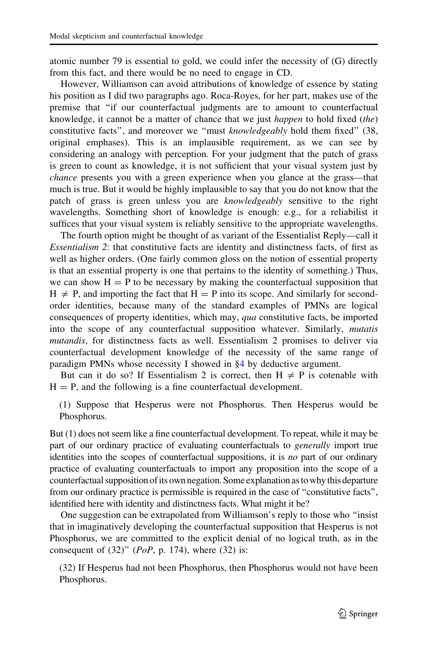atomic number 79 is essential to gold, we could infer the necessity of (G) directly from this fact, and there would be no need to engage in CD.

However, Williamson can avoid attributions of knowledge of essence by stating his position as I did two paragraphs ago. Roca-Royes, for her part, makes use of the premise that ''if our counterfactual judgments are to amount to counterfactual knowledge, it cannot be a matter of chance that we just *happen* to hold fixed (the) constitutive facts'', and moreover we ''must knowledgeably hold them fixed'' (38, original emphases). This is an implausible requirement, as we can see by considering an analogy with perception. For your judgment that the patch of grass is green to count as knowledge, it is not sufficient that your visual system just by chance presents you with a green experience when you glance at the grass—that much is true. But it would be highly implausible to say that you do not know that the patch of grass is green unless you are knowledgeably sensitive to the right wavelengths. Something short of knowledge is enough: e.g., for a reliabilist it suffices that your visual system is reliably sensitive to the appropriate wavelengths.

The fourth option might be thought of as variant of the Essentialist Reply—call it Essentialism 2: that constitutive facts are identity and distinctness facts, of first as well as higher orders. (One fairly common gloss on the notion of essential property is that an essential property is one that pertains to the identity of something.) Thus, we can show  $H = P$  to be necessary by making the counterfactual supposition that  $H \neq P$ , and importing the fact that  $H = P$  into its scope. And similarly for secondorder identities, because many of the standard examples of PMNs are logical consequences of property identities, which may, qua constitutive facts, be imported into the scope of any counterfactual supposition whatever. Similarly, mutatis mutandis, for distinctness facts as well. Essentialism 2 promises to deliver via counterfactual development knowledge of the necessity of the same range of paradigm PMNs whose necessity I showed in [§4](#page-9-0) by deductive argument.

But can it do so? If Essentialism 2 is correct, then  $H \neq P$  is cotenable with  $H = P$ , and the following is a fine counterfactual development.

(1) Suppose that Hesperus were not Phosphorus. Then Hesperus would be Phosphorus.

But (1) does not seem like a fine counterfactual development. To repeat, while it may be part of our ordinary practice of evaluating counterfactuals to *generally* import true identities into the scopes of counterfactual suppositions, it is no part of our ordinary practice of evaluating counterfactuals to import any proposition into the scope of a counterfactual supposition ofits own negation. Some explanation as to why this departure from our ordinary practice is permissible is required in the case of ''constitutive facts'', identified here with identity and distinctness facts. What might it be?

One suggestion can be extrapolated from Williamson's reply to those who ''insist that in imaginatively developing the counterfactual supposition that Hesperus is not Phosphorus, we are committed to the explicit denial of no logical truth, as in the consequent of  $(32)$ " (PoP, p. 174), where  $(32)$  is:

(32) If Hesperus had not been Phosphorus, then Phosphorus would not have been Phosphorus.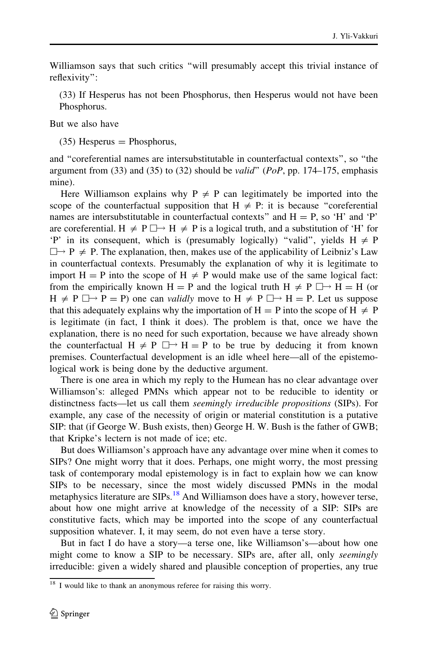Williamson says that such critics ''will presumably accept this trivial instance of reflexivity'':

(33) If Hesperus has not been Phosphorus, then Hesperus would not have been Phosphorus.

But we also have

 $(35)$  Hesperus = Phosphorus,

and ''coreferential names are intersubstitutable in counterfactual contexts'', so ''the argument from (33) and (35) to (32) should be *valid*" ( $PoP$ , pp. 174–175, emphasis mine).

Here Williamson explains why  $P \neq P$  can legitimately be imported into the scope of the counterfactual supposition that  $H \neq P$ : it is because "coreferential names are intersubstitutable in counterfactual contexts" and  $H = P$ , so 'H' and 'P' are coreferential. H  $\neq$  P  $\Box \rightarrow$  H  $\neq$  P is a logical truth, and a substitution of 'H' for 'P' in its consequent, which is (presumably logically) "valid", yields  $H \neq P$  $\Box \rightarrow P \neq P$ . The explanation, then, makes use of the applicability of Leibniz's Law in counterfactual contexts. Presumably the explanation of why it is legitimate to import  $H = P$  into the scope of  $H \neq P$  would make use of the same logical fact: from the empirically known  $H = P$  and the logical truth  $H \neq P \square \rightarrow H = H$  (or  $H \neq P \square \rightarrow P = P$ ) one can *validly* move to  $H \neq P \square \rightarrow H = P$ . Let us suppose that this adequately explains why the importation of  $H = P$  into the scope of  $H \neq P$ is legitimate (in fact, I think it does). The problem is that, once we have the explanation, there is no need for such exportation, because we have already shown the counterfactual  $H \neq P \square \rightarrow H = P$  to be true by deducing it from known premises. Counterfactual development is an idle wheel here—all of the epistemological work is being done by the deductive argument.

There is one area in which my reply to the Humean has no clear advantage over Williamson's: alleged PMNs which appear not to be reducible to identity or distinctness facts—let us call them seemingly irreducible propositions (SIPs). For example, any case of the necessity of origin or material constitution is a putative SIP: that (if George W. Bush exists, then) George H. W. Bush is the father of GWB; that Kripke's lectern is not made of ice; etc.

But does Williamson's approach have any advantage over mine when it comes to SIPs? One might worry that it does. Perhaps, one might worry, the most pressing task of contemporary modal epistemology is in fact to explain how we can know SIPs to be necessary, since the most widely discussed PMNs in the modal metaphysics literature are SIPs.<sup>18</sup> And Williamson does have a story, however terse, about how one might arrive at knowledge of the necessity of a SIP: SIPs are constitutive facts, which may be imported into the scope of any counterfactual supposition whatever. I, it may seem, do not even have a terse story.

But in fact I do have a story—a terse one, like Williamson's—about how one might come to know a SIP to be necessary. SIPs are, after all, only seemingly irreducible: given a widely shared and plausible conception of properties, any true

<sup>&</sup>lt;sup>18</sup> I would like to thank an anonymous referee for raising this worry.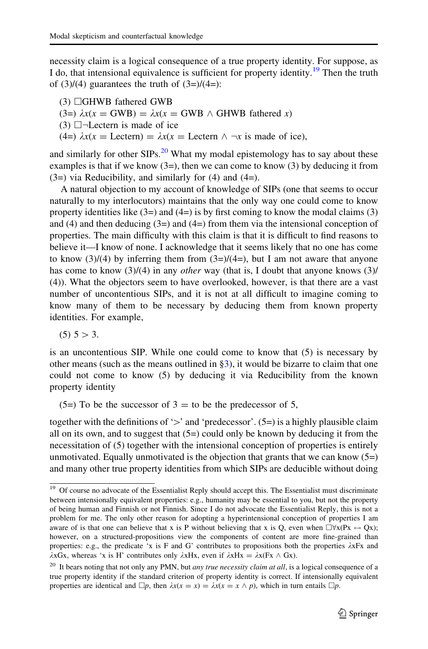necessity claim is a logical consequence of a true property identity. For suppose, as I do, that intensional equivalence is sufficient for property identity.<sup>19</sup> Then the truth of  $(3)/(4)$  guarantees the truth of  $(3=)/(4=)$ :

 $(3)$   $\Box$ GHWB fathered GWB

(3=)  $\lambda x(x)$  GWB =  $\lambda x(x)$  GHWB fathered x)

(3)  $\Box$ -Lectern is made of ice

(4=)  $\lambda x(x)$  Lectern =  $\lambda x(x)$  Lectern  $\wedge \neg x$  is made of ice),

and similarly for other  $SIPs$ <sup>20</sup> What my modal epistemology has to say about these examples is that if we know  $(3=)$ , then we can come to know  $(3)$  by deducing it from  $(3=)$  via Reducibility, and similarly for  $(4)$  and  $(4=)$ .

A natural objection to my account of knowledge of SIPs (one that seems to occur naturally to my interlocutors) maintains that the only way one could come to know property identities like  $(3=)$  and  $(4=)$  is by first coming to know the modal claims  $(3)$ and (4) and then deducing  $(3=)$  and  $(4=)$  from them via the intensional conception of properties. The main difficulty with this claim is that it is difficult to find reasons to believe it—I know of none. I acknowledge that it seems likely that no one has come to know  $(3)/(4)$  by inferring them from  $(3=)/(4=)$ , but I am not aware that anyone has come to know  $(3)/(4)$  in any *other* way (that is, I doubt that anyone knows  $(3)$ ) (4)). What the objectors seem to have overlooked, however, is that there are a vast number of uncontentious SIPs, and it is not at all difficult to imagine coming to know many of them to be necessary by deducing them from known property identities. For example,

 $(5)$  5  $>$  3.

is an uncontentious SIP. While one could come to know that (5) is necessary by other means (such as the means outlined in [§3](#page-6-0)), it would be bizarre to claim that one could not come to know (5) by deducing it via Reducibility from the known property identity

 $(5=)$  To be the successor of 3 = to be the predecessor of 5,

together with the definitions of ' $\geq$ ' and 'predecessor'. (5=) is a highly plausible claim all on its own, and to suggest that (5=) could only be known by deducing it from the necessitation of (5) together with the intensional conception of properties is entirely unmotivated. Equally unmotivated is the objection that grants that we can know  $(5=)$ and many other true property identities from which SIPs are deducible without doing

<sup>&</sup>lt;sup>19</sup> Of course no advocate of the Essentialist Reply should accept this. The Essentialist must discriminate between intensionally equivalent properties: e.g., humanity may be essential to you, but not the property of being human and Finnish or not Finnish. Since I do not advocate the Essentialist Reply, this is not a problem for me. The only other reason for adopting a hyperintensional conception of properties I am aware of is that one can believe that x is P without believing that x is Q, even when  $\Box \forall x (Px \leftrightarrow Qx)$ ; however, on a structured-propositions view the components of content are more fine-grained than properties: e.g., the predicate 'x is F and G' contributes to propositions both the properties  $\lambda xFx$  and  $\lambda$ xGx, whereas 'x is H' contributes only  $\lambda$ xHx, even if  $\lambda$ xHx =  $\lambda$ x(Fx  $\wedge$  Gx).

<sup>&</sup>lt;sup>20</sup> It bears noting that not only any PMN, but *any true necessity claim at all*, is a logical consequence of a true property identity if the standard criterion of property identity is correct. If intensionally equivalent properties are identical and  $\Box p$ , then  $\lambda x(x = x) = \lambda x(x = x \land p)$ , which in turn entails  $\Box p$ .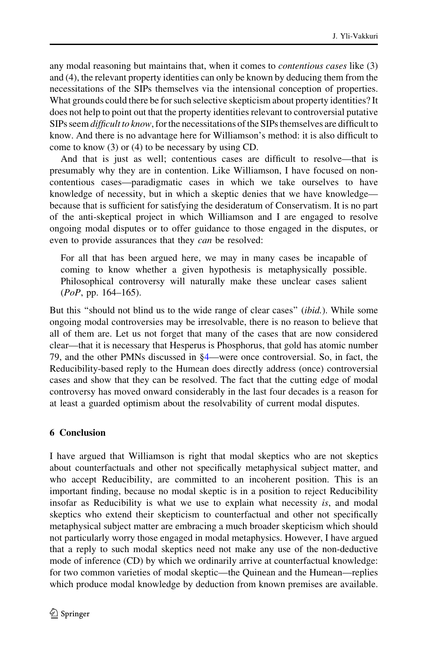<span id="page-17-0"></span>any modal reasoning but maintains that, when it comes to *contentious cases* like (3) and (4), the relevant property identities can only be known by deducing them from the necessitations of the SIPs themselves via the intensional conception of properties. What grounds could there be for such selective skepticism about property identities? It does not help to point out that the property identities relevant to controversial putative SIPs seem *difficult to know*, for the necessitations of the SIPs themselves are difficult to know. And there is no advantage here for Williamson's method: it is also difficult to come to know (3) or (4) to be necessary by using CD.

And that is just as well; contentious cases are difficult to resolve—that is presumably why they are in contention. Like Williamson, I have focused on noncontentious cases—paradigmatic cases in which we take ourselves to have knowledge of necessity, but in which a skeptic denies that we have knowledge because that is sufficient for satisfying the desideratum of Conservatism. It is no part of the anti-skeptical project in which Williamson and I are engaged to resolve ongoing modal disputes or to offer guidance to those engaged in the disputes, or even to provide assurances that they *can* be resolved:

For all that has been argued here, we may in many cases be incapable of coming to know whether a given hypothesis is metaphysically possible. Philosophical controversy will naturally make these unclear cases salient  $(PoP, pp. 164–165)$ .

But this "should not blind us to the wide range of clear cases" *(ibid.)*. While some ongoing modal controversies may be irresolvable, there is no reason to believe that all of them are. Let us not forget that many of the cases that are now considered clear—that it is necessary that Hesperus is Phosphorus, that gold has atomic number 79, and the other PMNs discussed in [§4](#page-9-0)—were once controversial. So, in fact, the Reducibility-based reply to the Humean does directly address (once) controversial cases and show that they can be resolved. The fact that the cutting edge of modal controversy has moved onward considerably in the last four decades is a reason for at least a guarded optimism about the resolvability of current modal disputes.

# 6 Conclusion

I have argued that Williamson is right that modal skeptics who are not skeptics about counterfactuals and other not specifically metaphysical subject matter, and who accept Reducibility, are committed to an incoherent position. This is an important finding, because no modal skeptic is in a position to reject Reducibility insofar as Reducibility is what we use to explain what necessity is, and modal skeptics who extend their skepticism to counterfactual and other not specifically metaphysical subject matter are embracing a much broader skepticism which should not particularly worry those engaged in modal metaphysics. However, I have argued that a reply to such modal skeptics need not make any use of the non-deductive mode of inference (CD) by which we ordinarily arrive at counterfactual knowledge: for two common varieties of modal skeptic—the Quinean and the Humean—replies which produce modal knowledge by deduction from known premises are available.